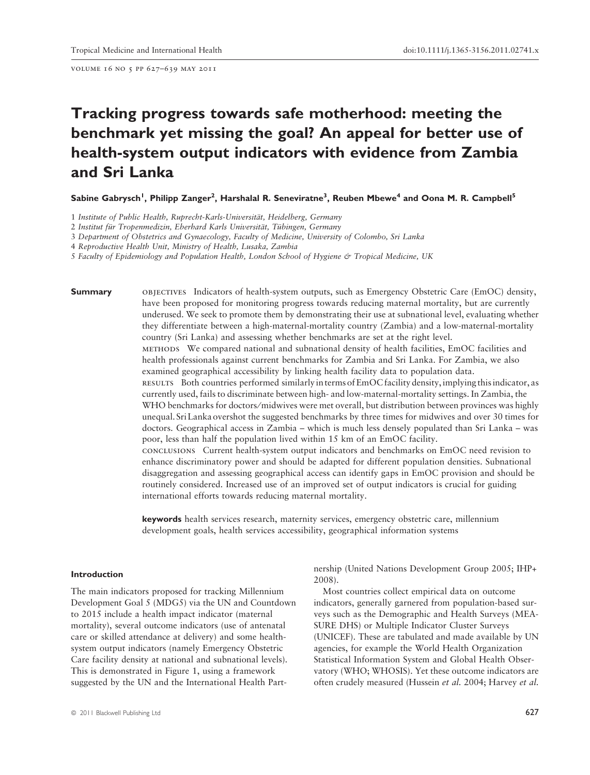volume 16 no 5 pp 627–639 may 2011

# Tracking progress towards safe motherhood: meeting the benchmark yet missing the goal? An appeal for better use of health-system output indicators with evidence from Zambia and Sri Lanka

Sabine Gabrysch<sup>1</sup>, Philipp Zanger<sup>2</sup>, Harshalal R. Seneviratne<sup>3</sup>, Reuben Mbewe<sup>4</sup> and Oona M. R. Campbell<sup>5</sup>

- 1 Institute of Public Health, Ruprecht-Karls-Universität, Heidelberg, Germany
- 2 Institut für Tropenmedizin, Eberhard Karls Universität, Tübingen, Germany

3 Department of Obstetrics and Gynaecology, Faculty of Medicine, University of Colombo, Sri Lanka

- 4 Reproductive Health Unit, Ministry of Health, Lusaka, Zambia
- 5 Faculty of Epidemiology and Population Health, London School of Hygiene & Tropical Medicine, UK

Summary objectives Indicators of health-system outputs, such as Emergency Obstetric Care (EmOC) density,

have been proposed for monitoring progress towards reducing maternal mortality, but are currently underused. We seek to promote them by demonstrating their use at subnational level, evaluating whether they differentiate between a high-maternal-mortality country (Zambia) and a low-maternal-mortality country (Sri Lanka) and assessing whether benchmarks are set at the right level. methods We compared national and subnational density of health facilities, EmOC facilities and health professionals against current benchmarks for Zambia and Sri Lanka. For Zambia, we also examined geographical accessibility by linking health facility data to population data. results Both countries performed similarly in terms of EmOC facility density, implying this indicator, as currently used, fails to discriminate between high- and low-maternal-mortality settings. In Zambia, the WHO benchmarks for doctors⁄ midwives were met overall, but distribution between provinces was highly unequal.SriLankaovershot the suggested benchmarks by three times for midwives and over 30 times for doctors. Geographical access in Zambia – which is much less densely populated than Sri Lanka – was poor, less than half the population lived within 15 km of an EmOC facility. conclusions Current health-system output indicators and benchmarks on EmOC need revision to enhance discriminatory power and should be adapted for different population densities. Subnational disaggregation and assessing geographical access can identify gaps in EmOC provision and should be routinely considered. Increased use of an improved set of output indicators is crucial for guiding international efforts towards reducing maternal mortality.

keywords health services research, maternity services, emergency obstetric care, millennium development goals, health services accessibility, geographical information systems

#### Introduction

The main indicators proposed for tracking Millennium Development Goal 5 (MDG5) via the UN and Countdown to 2015 include a health impact indicator (maternal mortality), several outcome indicators (use of antenatal care or skilled attendance at delivery) and some healthsystem output indicators (namely Emergency Obstetric Care facility density at national and subnational levels). This is demonstrated in Figure 1, using a framework suggested by the UN and the International Health Partnership (United Nations Development Group 2005; IHP+ 2008).

Most countries collect empirical data on outcome indicators, generally garnered from population-based surveys such as the Demographic and Health Surveys (MEA-SURE DHS) or Multiple Indicator Cluster Surveys (UNICEF). These are tabulated and made available by UN agencies, for example the World Health Organization Statistical Information System and Global Health Observatory (WHO; WHOSIS). Yet these outcome indicators are often crudely measured (Hussein et al. 2004; Harvey et al.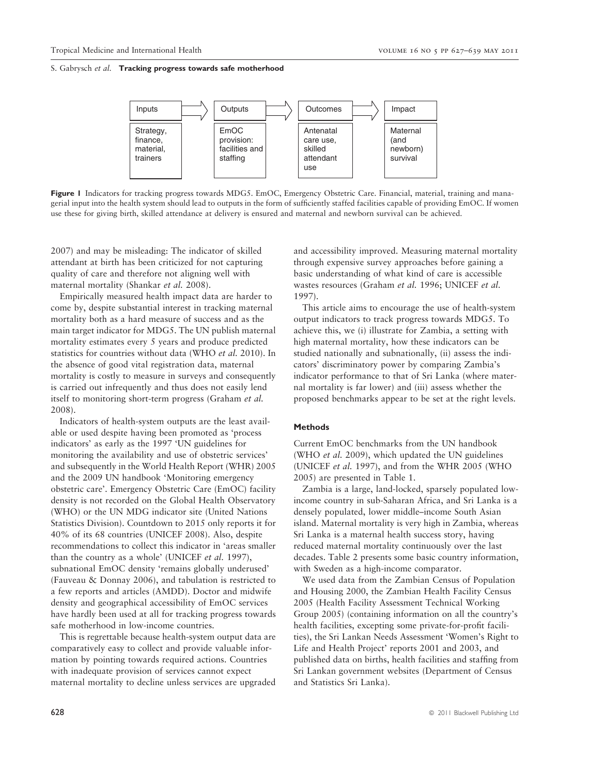

Figure 1 Indicators for tracking progress towards MDG5. EmOC, Emergency Obstetric Care. Financial, material, training and managerial input into the health system should lead to outputs in the form of sufficiently staffed facilities capable of providing EmOC. If women use these for giving birth, skilled attendance at delivery is ensured and maternal and newborn survival can be achieved.

2007) and may be misleading: The indicator of skilled attendant at birth has been criticized for not capturing quality of care and therefore not aligning well with maternal mortality (Shankar et al. 2008).

Empirically measured health impact data are harder to come by, despite substantial interest in tracking maternal mortality both as a hard measure of success and as the main target indicator for MDG5. The UN publish maternal mortality estimates every 5 years and produce predicted statistics for countries without data (WHO et al. 2010). In the absence of good vital registration data, maternal mortality is costly to measure in surveys and consequently is carried out infrequently and thus does not easily lend itself to monitoring short-term progress (Graham et al. 2008).

Indicators of health-system outputs are the least available or used despite having been promoted as 'process indicators' as early as the 1997 'UN guidelines for monitoring the availability and use of obstetric services' and subsequently in the World Health Report (WHR) 2005 and the 2009 UN handbook 'Monitoring emergency obstetric care'. Emergency Obstetric Care (EmOC) facility density is not recorded on the Global Health Observatory (WHO) or the UN MDG indicator site (United Nations Statistics Division). Countdown to 2015 only reports it for 40% of its 68 countries (UNICEF 2008). Also, despite recommendations to collect this indicator in 'areas smaller than the country as a whole' (UNICEF et al. 1997), subnational EmOC density 'remains globally underused' (Fauveau & Donnay 2006), and tabulation is restricted to a few reports and articles (AMDD). Doctor and midwife density and geographical accessibility of EmOC services have hardly been used at all for tracking progress towards safe motherhood in low-income countries.

This is regrettable because health-system output data are comparatively easy to collect and provide valuable information by pointing towards required actions. Countries with inadequate provision of services cannot expect maternal mortality to decline unless services are upgraded

and accessibility improved. Measuring maternal mortality through expensive survey approaches before gaining a basic understanding of what kind of care is accessible wastes resources (Graham et al. 1996; UNICEF et al. 1997).

This article aims to encourage the use of health-system output indicators to track progress towards MDG5. To achieve this, we (i) illustrate for Zambia, a setting with high maternal mortality, how these indicators can be studied nationally and subnationally, (ii) assess the indicators' discriminatory power by comparing Zambia's indicator performance to that of Sri Lanka (where maternal mortality is far lower) and (iii) assess whether the proposed benchmarks appear to be set at the right levels.

## Methods

Current EmOC benchmarks from the UN handbook (WHO et al. 2009), which updated the UN guidelines (UNICEF et al. 1997), and from the WHR 2005 (WHO 2005) are presented in Table 1.

Zambia is a large, land-locked, sparsely populated lowincome country in sub-Saharan Africa, and Sri Lanka is a densely populated, lower middle–income South Asian island. Maternal mortality is very high in Zambia, whereas Sri Lanka is a maternal health success story, having reduced maternal mortality continuously over the last decades. Table 2 presents some basic country information, with Sweden as a high-income comparator.

We used data from the Zambian Census of Population and Housing 2000, the Zambian Health Facility Census 2005 (Health Facility Assessment Technical Working Group 2005) (containing information on all the country's health facilities, excepting some private-for-profit facilities), the Sri Lankan Needs Assessment 'Women's Right to Life and Health Project' reports 2001 and 2003, and published data on births, health facilities and staffing from Sri Lankan government websites (Department of Census and Statistics Sri Lanka).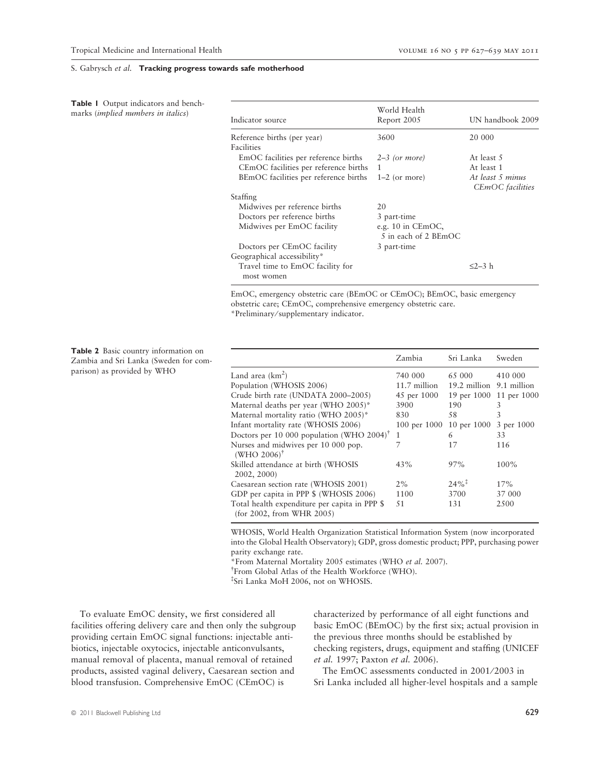Table 1 Output indicators and benchmarks (implied numbers in italics)

|                                                | World Health         |                                      |  |
|------------------------------------------------|----------------------|--------------------------------------|--|
| Indicator source                               | Report 2005          | UN handbook 2009                     |  |
| Reference births (per year)                    | 3600                 | 20 000                               |  |
| Facilities                                     |                      |                                      |  |
| EmOC facilities per reference births           | $2-3$ (or more)      | At least 5                           |  |
| CEmOC facilities per reference births          | 1                    | At least 1                           |  |
| BEmOC facilities per reference births          | $1-2$ (or more)      | At least 5 minus<br>CEmOC facilities |  |
| Staffing                                       |                      |                                      |  |
| Midwives per reference births                  | 20                   |                                      |  |
| Doctors per reference births                   | 3 part-time          |                                      |  |
| Midwives per EmOC facility                     | e.g. $10$ in CEmOC,  |                                      |  |
|                                                | 5 in each of 2 BEmOC |                                      |  |
| Doctors per CEmOC facility                     | 3 part-time          |                                      |  |
| Geographical accessibility*                    |                      |                                      |  |
| Travel time to EmOC facility for<br>most women |                      | $2 - 3 h$                            |  |

EmOC, emergency obstetric care (BEmOC or CEmOC); BEmOC, basic emergency obstetric care; CEmOC, comprehensive emergency obstetric care. \*Preliminary ⁄supplementary indicator.

Table 2 Basic country information on Zambia and Sri Lanka (Sweden for comparison) as provided by WHO

|                                                                            | Zambia           | Sri Lanka                | Sweden     |
|----------------------------------------------------------------------------|------------------|--------------------------|------------|
| Land area $(km^2)$                                                         | 740 000          | 6.5 000                  | 410 000    |
| Population (WHOSIS 2006)                                                   | 11.7 million     | 19.2 million 9.1 million |            |
| Crude birth rate (UNDATA 2000–2005)                                        | 45 per 1000      | 19 per 1000 11 per 1000  |            |
| Maternal deaths per year (WHO 2005)*                                       | 3900             | 190                      | 3          |
| Maternal mortality ratio (WHO 2005)*                                       | 830              | 58                       | 3          |
| Infant mortality rate (WHOSIS 2006)                                        | $100$ per $1000$ | 10 per 1000              | 3 per 1000 |
| Doctors per 10 000 population (WHO 2004) <sup>†</sup>                      | 1                | 6                        | 33         |
| Nurses and midwives per 10 000 pop.<br>$(WHO 2006)^{\dagger}$              | 7                | 17                       | 116        |
| Skilled attendance at birth (WHOSIS<br>2002, 2000)                         | 43%              | 97%                      | $100\%$    |
| Caesarean section rate (WHOSIS 2001)                                       | $2\%$            | $24\%$ <sup>‡</sup>      | 17%        |
| GDP per capita in PPP \$ (WHOSIS 2006)                                     | 1100             | 3700                     | 37 000     |
| Total health expenditure per capita in PPP \$<br>(for 2002, from WHR 2005) | 51               | 131                      | 2500       |

WHOSIS, World Health Organization Statistical Information System (now incorporated into the Global Health Observatory); GDP, gross domestic product; PPP, purchasing power parity exchange rate.

\*From Maternal Mortality 2005 estimates (WHO et al. 2007).

- From Global Atlas of the Health Workforce (WHO).

Sri Lanka MoH 2006, not on WHOSIS.

To evaluate EmOC density, we first considered all facilities offering delivery care and then only the subgroup providing certain EmOC signal functions: injectable antibiotics, injectable oxytocics, injectable anticonvulsants, manual removal of placenta, manual removal of retained products, assisted vaginal delivery, Caesarean section and blood transfusion. Comprehensive EmOC (CEmOC) is

characterized by performance of all eight functions and basic EmOC (BEmOC) by the first six; actual provision in the previous three months should be established by checking registers, drugs, equipment and staffing (UNICEF et al. 1997; Paxton et al. 2006).

The EmOC assessments conducted in 2001/2003 in Sri Lanka included all higher-level hospitals and a sample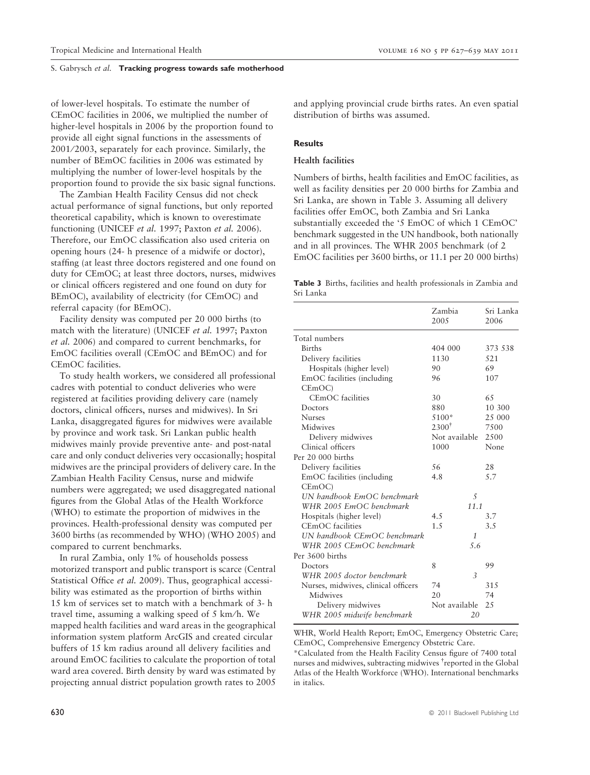of lower-level hospitals. To estimate the number of CEmOC facilities in 2006, we multiplied the number of higher-level hospitals in 2006 by the proportion found to provide all eight signal functions in the assessments of 2001/2003, separately for each province. Similarly, the number of BEmOC facilities in 2006 was estimated by multiplying the number of lower-level hospitals by the proportion found to provide the six basic signal functions.

The Zambian Health Facility Census did not check actual performance of signal functions, but only reported theoretical capability, which is known to overestimate functioning (UNICEF et al. 1997; Paxton et al. 2006). Therefore, our EmOC classification also used criteria on opening hours (24- h presence of a midwife or doctor), staffing (at least three doctors registered and one found on duty for CEmOC; at least three doctors, nurses, midwives or clinical officers registered and one found on duty for BEmOC), availability of electricity (for CEmOC) and referral capacity (for BEmOC).

Facility density was computed per 20 000 births (to match with the literature) (UNICEF et al. 1997; Paxton et al. 2006) and compared to current benchmarks, for EmOC facilities overall (CEmOC and BEmOC) and for CEmOC facilities.

To study health workers, we considered all professional cadres with potential to conduct deliveries who were registered at facilities providing delivery care (namely doctors, clinical officers, nurses and midwives). In Sri Lanka, disaggregated figures for midwives were available by province and work task. Sri Lankan public health midwives mainly provide preventive ante- and post-natal care and only conduct deliveries very occasionally; hospital midwives are the principal providers of delivery care. In the Zambian Health Facility Census, nurse and midwife numbers were aggregated; we used disaggregated national figures from the Global Atlas of the Health Workforce (WHO) to estimate the proportion of midwives in the provinces. Health-professional density was computed per 3600 births (as recommended by WHO) (WHO 2005) and compared to current benchmarks.

In rural Zambia, only 1% of households possess motorized transport and public transport is scarce (Central Statistical Office et al. 2009). Thus, geographical accessibility was estimated as the proportion of births within 15 km of services set to match with a benchmark of 3- h travel time, assuming a walking speed of 5 km ⁄ h. We mapped health facilities and ward areas in the geographical information system platform ArcGIS and created circular buffers of 15 km radius around all delivery facilities and around EmOC facilities to calculate the proportion of total ward area covered. Birth density by ward was estimated by projecting annual district population growth rates to 2005 and applying provincial crude births rates. An even spatial distribution of births was assumed.

# Results

# Health facilities

Numbers of births, health facilities and EmOC facilities, as well as facility densities per 20 000 births for Zambia and Sri Lanka, are shown in Table 3. Assuming all delivery facilities offer EmOC, both Zambia and Sri Lanka substantially exceeded the '5 EmOC of which 1 CEmOC' benchmark suggested in the UN handbook, both nationally and in all provinces. The WHR 2005 benchmark (of 2 EmOC facilities per 3600 births, or 11.1 per 20 000 births)

Table 3 Births, facilities and health professionals in Zambia and Sri Lanka

|                                     | Zambia<br>2005   | Sri Lanka<br>2006 |
|-------------------------------------|------------------|-------------------|
| Total numbers                       |                  |                   |
| <b>Births</b>                       | 404 000          | 373 538           |
| Delivery facilities                 | 1130             | 521               |
| Hospitals (higher level)            | 90               | 69                |
| EmOC facilities (including          | 96               | 107               |
| CEmOC                               |                  |                   |
| CEmOC facilities                    | 30               | 65                |
| Doctors                             | 880              | 10 300            |
| <b>Nurses</b>                       | 5100*            | 25 000            |
| Midwives                            | $2300^{\dagger}$ | 7500              |
| Delivery midwives                   | Not available    | 2500              |
| Clinical officers                   | 1000             | None              |
| Per 20 000 births                   |                  |                   |
| Delivery facilities                 | 56               | 28                |
| EmOC facilities (including          | 4.8              | 5.7               |
| CEmOC)                              |                  |                   |
| UN handbook EmOC benchmark          | 5                |                   |
| WHR 2005 EmOC benchmark             | 11.1             |                   |
| Hospitals (higher level)            | 4.5              | 3.7               |
| CEmOC facilities                    | 1.5              | 3.5               |
| UN handbook CEmOC benchmark         | $\mathcal{I}$    |                   |
| WHR 2005 CEmOC benchmark            | 5.6              |                   |
| Per 3600 births                     |                  |                   |
| Doctors                             | 8                | 99                |
| WHR 2005 doctor benchmark           | 3                |                   |
| Nurses, midwives, clinical officers | 74               | 31.5              |
| Midwives                            | 20               | 74                |
| Delivery midwives                   | Not available    | 2.5               |
| WHR 2005 midwife benchmark          | 20               |                   |

WHR, World Health Report; EmOC, Emergency Obstetric Care; CEmOC, Comprehensive Emergency Obstetric Care.

\*Calculated from the Health Facility Census figure of 7400 total nurses and midwives, subtracting midwives <sup>†</sup>reported in the Global Atlas of the Health Workforce (WHO). International benchmarks in italics.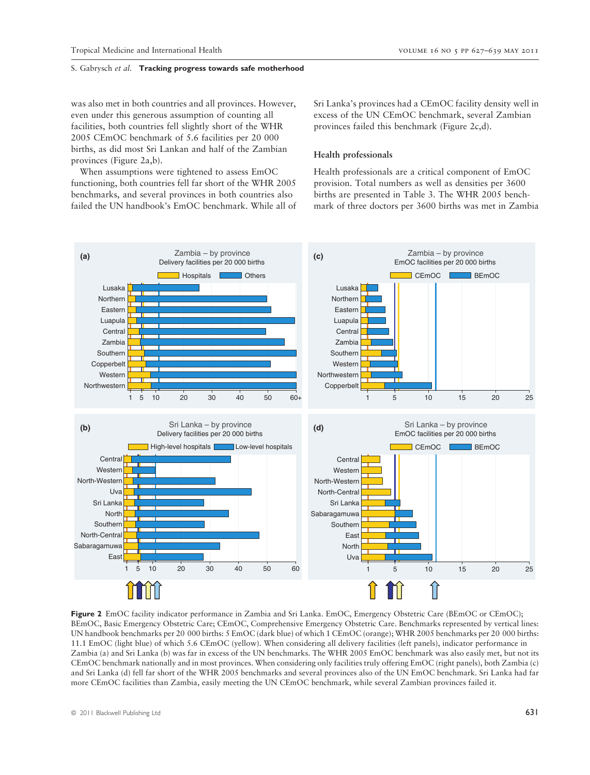was also met in both countries and all provinces. However, even under this generous assumption of counting all facilities, both countries fell slightly short of the WHR 2005 CEmOC benchmark of 5.6 facilities per 20 000 births, as did most Sri Lankan and half of the Zambian provinces (Figure 2a,b).

When assumptions were tightened to assess EmOC functioning, both countries fell far short of the WHR 2005 benchmarks, and several provinces in both countries also failed the UN handbook's EmOC benchmark. While all of Sri Lanka's provinces had a CEmOC facility density well in excess of the UN CEmOC benchmark, several Zambian provinces failed this benchmark (Figure 2c,d).

#### Health professionals

Health professionals are a critical component of EmOC provision. Total numbers as well as densities per 3600 births are presented in Table 3. The WHR 2005 benchmark of three doctors per 3600 births was met in Zambia



Figure 2 EmOC facility indicator performance in Zambia and Sri Lanka. EmOC, Emergency Obstetric Care (BEmOC or CEmOC); BEmOC, Basic Emergency Obstetric Care; CEmOC, Comprehensive Emergency Obstetric Care. Benchmarks represented by vertical lines: UN handbook benchmarks per 20 000 births: 5 EmOC (dark blue) of which 1 CEmOC (orange); WHR 2005 benchmarks per 20 000 births: 11.1 EmOC (light blue) of which 5.6 CEmOC (yellow). When considering all delivery facilities (left panels), indicator performance in Zambia (a) and Sri Lanka (b) was far in excess of the UN benchmarks. The WHR 2005 EmOC benchmark was also easily met, but not its CEmOC benchmark nationally and in most provinces. When considering only facilities truly offering EmOC (right panels), both Zambia (c) and Sri Lanka (d) fell far short of the WHR 2005 benchmarks and several provinces also of the UN EmOC benchmark. Sri Lanka had far more CEmOC facilities than Zambia, easily meeting the UN CEmOC benchmark, while several Zambian provinces failed it.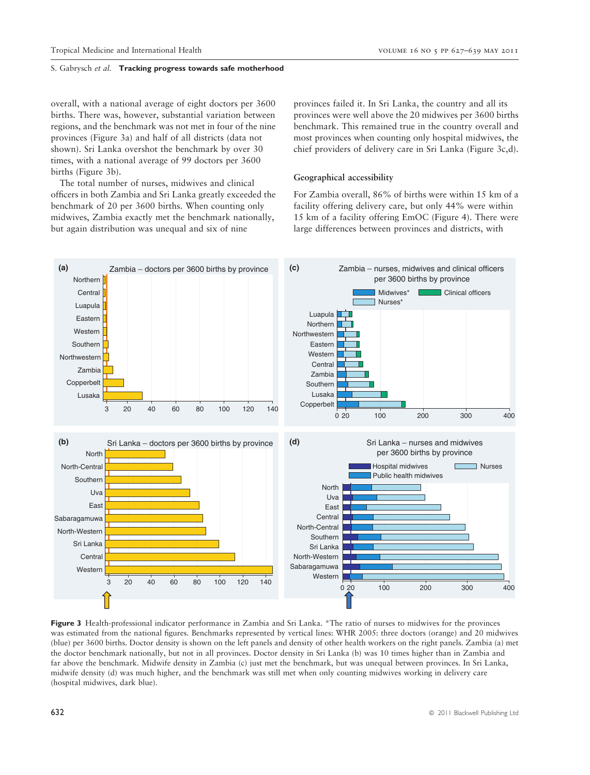overall, with a national average of eight doctors per 3600 births. There was, however, substantial variation between regions, and the benchmark was not met in four of the nine provinces (Figure 3a) and half of all districts (data not shown). Sri Lanka overshot the benchmark by over 30 times, with a national average of 99 doctors per 3600 births (Figure 3b).

The total number of nurses, midwives and clinical officers in both Zambia and Sri Lanka greatly exceeded the benchmark of 20 per 3600 births. When counting only midwives, Zambia exactly met the benchmark nationally, but again distribution was unequal and six of nine

provinces failed it. In Sri Lanka, the country and all its provinces were well above the 20 midwives per 3600 births benchmark. This remained true in the country overall and most provinces when counting only hospital midwives, the chief providers of delivery care in Sri Lanka (Figure 3c,d).

#### Geographical accessibility

For Zambia overall, 86% of births were within 15 km of a facility offering delivery care, but only 44% were within 15 km of a facility offering EmOC (Figure 4). There were large differences between provinces and districts, with



Figure 3 Health-professional indicator performance in Zambia and Sri Lanka. \*The ratio of nurses to midwives for the provinces was estimated from the national figures. Benchmarks represented by vertical lines: WHR 2005: three doctors (orange) and 20 midwives (blue) per 3600 births. Doctor density is shown on the left panels and density of other health workers on the right panels. Zambia (a) met the doctor benchmark nationally, but not in all provinces. Doctor density in Sri Lanka (b) was 10 times higher than in Zambia and far above the benchmark. Midwife density in Zambia (c) just met the benchmark, but was unequal between provinces. In Sri Lanka, midwife density (d) was much higher, and the benchmark was still met when only counting midwives working in delivery care (hospital midwives, dark blue).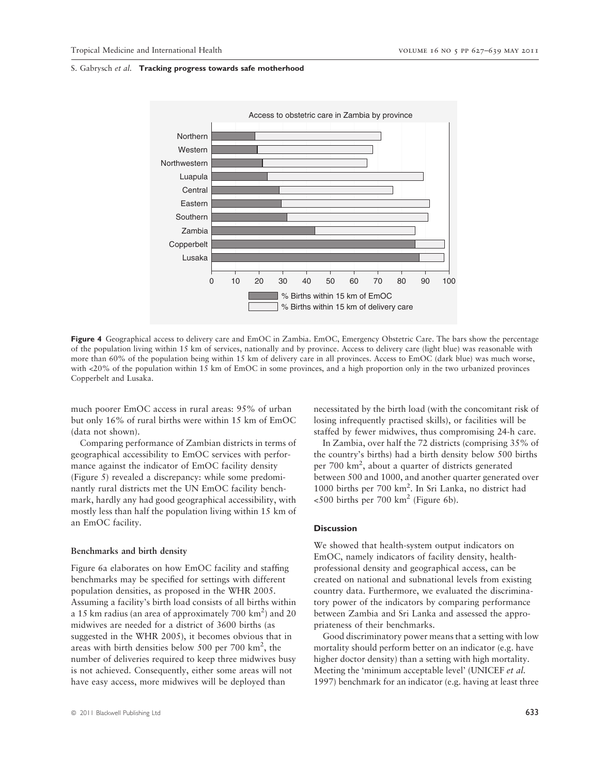

Figure 4 Geographical access to delivery care and EmOC in Zambia. EmOC, Emergency Obstetric Care. The bars show the percentage of the population living within 15 km of services, nationally and by province. Access to delivery care (light blue) was reasonable with more than 60% of the population being within 15 km of delivery care in all provinces. Access to EmOC (dark blue) was much worse, with <20% of the population within 15 km of EmOC in some provinces, and a high proportion only in the two urbanized provinces Copperbelt and Lusaka.

much poorer EmOC access in rural areas: 95% of urban but only 16% of rural births were within 15 km of EmOC (data not shown).

Comparing performance of Zambian districts in terms of geographical accessibility to EmOC services with performance against the indicator of EmOC facility density (Figure 5) revealed a discrepancy: while some predominantly rural districts met the UN EmOC facility benchmark, hardly any had good geographical accessibility, with mostly less than half the population living within 15 km of an EmOC facility.

## Benchmarks and birth density

Figure 6a elaborates on how EmOC facility and staffing benchmarks may be specified for settings with different population densities, as proposed in the WHR 2005. Assuming a facility's birth load consists of all births within a 15 km radius (an area of approximately 700 km<sup>2</sup>) and 20 midwives are needed for a district of 3600 births (as suggested in the WHR 2005), it becomes obvious that in areas with birth densities below 500 per 700  $\text{km}^2$ , the number of deliveries required to keep three midwives busy is not achieved. Consequently, either some areas will not have easy access, more midwives will be deployed than

necessitated by the birth load (with the concomitant risk of losing infrequently practised skills), or facilities will be staffed by fewer midwives, thus compromising 24-h care.

In Zambia, over half the 72 districts (comprising 35% of the country's births) had a birth density below 500 births per 700 km<sup>2</sup>, about a quarter of districts generated between 500 and 1000, and another quarter generated over 1000 births per 700 km2 . In Sri Lanka, no district had  $<$ 500 births per 700 km<sup>2</sup> (Figure 6b).

## **Discussion**

We showed that health-system output indicators on EmOC, namely indicators of facility density, healthprofessional density and geographical access, can be created on national and subnational levels from existing country data. Furthermore, we evaluated the discriminatory power of the indicators by comparing performance between Zambia and Sri Lanka and assessed the appropriateness of their benchmarks.

Good discriminatory power means that a setting with low mortality should perform better on an indicator (e.g. have higher doctor density) than a setting with high mortality. Meeting the 'minimum acceptable level' (UNICEF et al. 1997) benchmark for an indicator (e.g. having at least three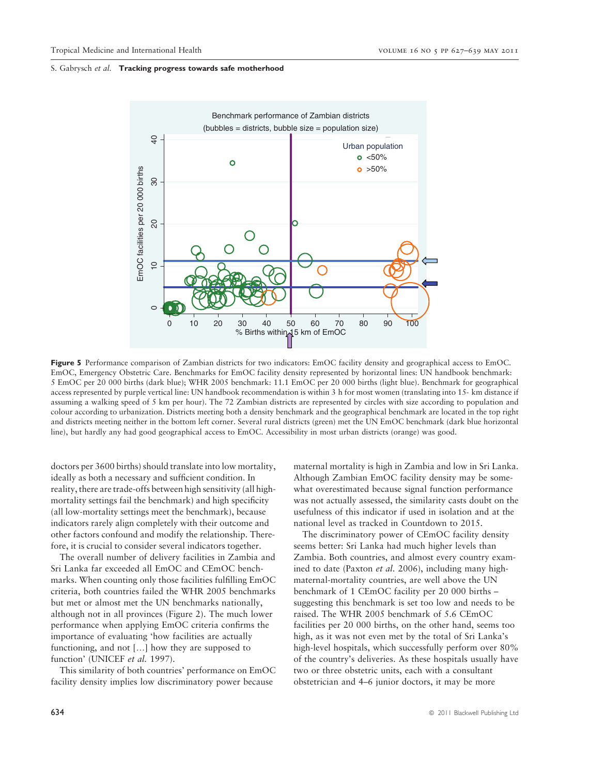

Figure 5 Performance comparison of Zambian districts for two indicators: EmOC facility density and geographical access to EmOC. EmOC, Emergency Obstetric Care. Benchmarks for EmOC facility density represented by horizontal lines: UN handbook benchmark: 5 EmOC per 20 000 births (dark blue); WHR 2005 benchmark: 11.1 EmOC per 20 000 births (light blue). Benchmark for geographical access represented by purple vertical line: UN handbook recommendation is within 3 h for most women (translating into 15- km distance if assuming a walking speed of 5 km per hour). The 72 Zambian districts are represented by circles with size according to population and colour according to urbanization. Districts meeting both a density benchmark and the geographical benchmark are located in the top right and districts meeting neither in the bottom left corner. Several rural districts (green) met the UN EmOC benchmark (dark blue horizontal line), but hardly any had good geographical access to EmOC. Accessibility in most urban districts (orange) was good.

doctors per 3600 births) should translate into low mortality, ideally as both a necessary and sufficient condition. In reality, there are trade-offs between high sensitivity (all highmortality settings fail the benchmark) and high specificity (all low-mortality settings meet the benchmark), because indicators rarely align completely with their outcome and other factors confound and modify the relationship. Therefore, it is crucial to consider several indicators together.

The overall number of delivery facilities in Zambia and Sri Lanka far exceeded all EmOC and CEmOC benchmarks. When counting only those facilities fulfilling EmOC criteria, both countries failed the WHR 2005 benchmarks but met or almost met the UN benchmarks nationally, although not in all provinces (Figure 2). The much lower performance when applying EmOC criteria confirms the importance of evaluating 'how facilities are actually functioning, and not […] how they are supposed to function' (UNICEF et al. 1997).

This similarity of both countries' performance on EmOC facility density implies low discriminatory power because

maternal mortality is high in Zambia and low in Sri Lanka. Although Zambian EmOC facility density may be somewhat overestimated because signal function performance was not actually assessed, the similarity casts doubt on the usefulness of this indicator if used in isolation and at the national level as tracked in Countdown to 2015.

The discriminatory power of CEmOC facility density seems better: Sri Lanka had much higher levels than Zambia. Both countries, and almost every country examined to date (Paxton et al. 2006), including many highmaternal-mortality countries, are well above the UN benchmark of 1 CEmOC facility per 20 000 births – suggesting this benchmark is set too low and needs to be raised. The WHR 2005 benchmark of 5.6 CEmOC facilities per 20 000 births, on the other hand, seems too high, as it was not even met by the total of Sri Lanka's high-level hospitals, which successfully perform over 80% of the country's deliveries. As these hospitals usually have two or three obstetric units, each with a consultant obstetrician and 4–6 junior doctors, it may be more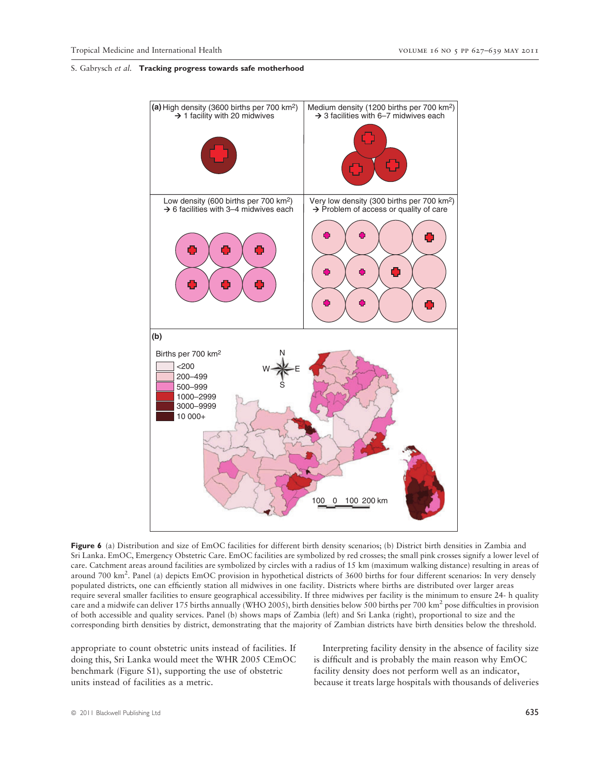

Figure 6 (a) Distribution and size of EmOC facilities for different birth density scenarios; (b) District birth densities in Zambia and Sri Lanka. EmOC, Emergency Obstetric Care. EmOC facilities are symbolized by red crosses; the small pink crosses signify a lower level of care. Catchment areas around facilities are symbolized by circles with a radius of 15 km (maximum walking distance) resulting in areas of around 700 km<sup>2</sup>. Panel (a) depicts EmOC provision in hypothetical districts of 3600 births for four different scenarios: In very densely populated districts, one can efficiently station all midwives in one facility. Districts where births are distributed over larger areas require several smaller facilities to ensure geographical accessibility. If three midwives per facility is the minimum to ensure 24- h quality care and a midwife can deliver 175 births annually (WHO 2005), birth densities below 500 births per 700 km<sup>2</sup> pose difficulties in provision of both accessible and quality services. Panel (b) shows maps of Zambia (left) and Sri Lanka (right), proportional to size and the corresponding birth densities by district, demonstrating that the majority of Zambian districts have birth densities below the threshold.

appropriate to count obstetric units instead of facilities. If doing this, Sri Lanka would meet the WHR 2005 CEmOC benchmark (Figure S1), supporting the use of obstetric units instead of facilities as a metric.

Interpreting facility density in the absence of facility size is difficult and is probably the main reason why EmOC facility density does not perform well as an indicator, because it treats large hospitals with thousands of deliveries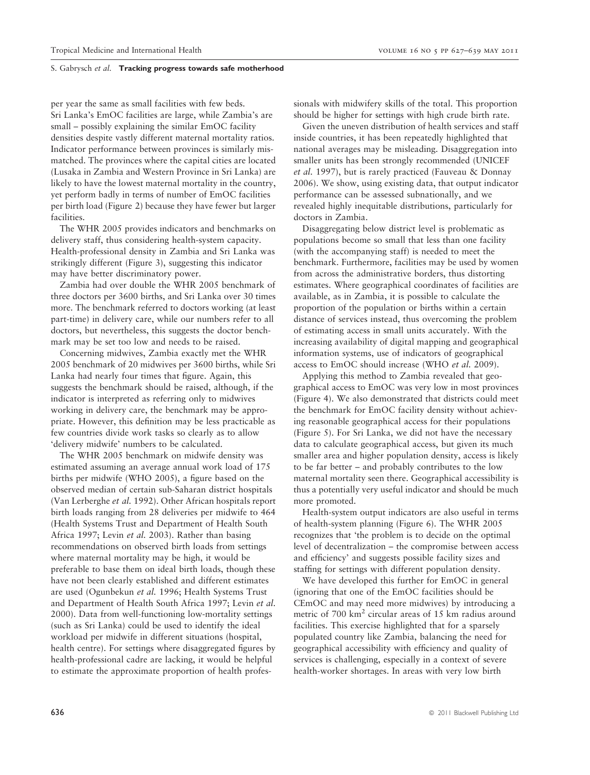per year the same as small facilities with few beds. Sri Lanka's EmOC facilities are large, while Zambia's are small – possibly explaining the similar EmOC facility densities despite vastly different maternal mortality ratios. Indicator performance between provinces is similarly mismatched. The provinces where the capital cities are located (Lusaka in Zambia and Western Province in Sri Lanka) are likely to have the lowest maternal mortality in the country, yet perform badly in terms of number of EmOC facilities per birth load (Figure 2) because they have fewer but larger facilities.

The WHR 2005 provides indicators and benchmarks on delivery staff, thus considering health-system capacity. Health-professional density in Zambia and Sri Lanka was strikingly different (Figure 3), suggesting this indicator may have better discriminatory power.

Zambia had over double the WHR 2005 benchmark of three doctors per 3600 births, and Sri Lanka over 30 times more. The benchmark referred to doctors working (at least part-time) in delivery care, while our numbers refer to all doctors, but nevertheless, this suggests the doctor benchmark may be set too low and needs to be raised.

Concerning midwives, Zambia exactly met the WHR 2005 benchmark of 20 midwives per 3600 births, while Sri Lanka had nearly four times that figure. Again, this suggests the benchmark should be raised, although, if the indicator is interpreted as referring only to midwives working in delivery care, the benchmark may be appropriate. However, this definition may be less practicable as few countries divide work tasks so clearly as to allow 'delivery midwife' numbers to be calculated.

The WHR 2005 benchmark on midwife density was estimated assuming an average annual work load of 175 births per midwife (WHO 2005), a figure based on the observed median of certain sub-Saharan district hospitals (Van Lerberghe et al. 1992). Other African hospitals report birth loads ranging from 28 deliveries per midwife to 464 (Health Systems Trust and Department of Health South Africa 1997; Levin et al. 2003). Rather than basing recommendations on observed birth loads from settings where maternal mortality may be high, it would be preferable to base them on ideal birth loads, though these have not been clearly established and different estimates are used (Ogunbekun et al. 1996; Health Systems Trust and Department of Health South Africa 1997; Levin et al. 2000). Data from well-functioning low-mortality settings (such as Sri Lanka) could be used to identify the ideal workload per midwife in different situations (hospital, health centre). For settings where disaggregated figures by health-professional cadre are lacking, it would be helpful to estimate the approximate proportion of health professionals with midwifery skills of the total. This proportion should be higher for settings with high crude birth rate.

Given the uneven distribution of health services and staff inside countries, it has been repeatedly highlighted that national averages may be misleading. Disaggregation into smaller units has been strongly recommended (UNICEF et al. 1997), but is rarely practiced (Fauveau & Donnay 2006). We show, using existing data, that output indicator performance can be assessed subnationally, and we revealed highly inequitable distributions, particularly for doctors in Zambia.

Disaggregating below district level is problematic as populations become so small that less than one facility (with the accompanying staff) is needed to meet the benchmark. Furthermore, facilities may be used by women from across the administrative borders, thus distorting estimates. Where geographical coordinates of facilities are available, as in Zambia, it is possible to calculate the proportion of the population or births within a certain distance of services instead, thus overcoming the problem of estimating access in small units accurately. With the increasing availability of digital mapping and geographical information systems, use of indicators of geographical access to EmOC should increase (WHO et al. 2009).

Applying this method to Zambia revealed that geographical access to EmOC was very low in most provinces (Figure 4). We also demonstrated that districts could meet the benchmark for EmOC facility density without achieving reasonable geographical access for their populations (Figure 5). For Sri Lanka, we did not have the necessary data to calculate geographical access, but given its much smaller area and higher population density, access is likely to be far better – and probably contributes to the low maternal mortality seen there. Geographical accessibility is thus a potentially very useful indicator and should be much more promoted.

Health-system output indicators are also useful in terms of health-system planning (Figure 6). The WHR 2005 recognizes that 'the problem is to decide on the optimal level of decentralization – the compromise between access and efficiency' and suggests possible facility sizes and staffing for settings with different population density.

We have developed this further for EmOC in general (ignoring that one of the EmOC facilities should be CEmOC and may need more midwives) by introducing a metric of 700 km<sup>2</sup> circular areas of 15 km radius around facilities. This exercise highlighted that for a sparsely populated country like Zambia, balancing the need for geographical accessibility with efficiency and quality of services is challenging, especially in a context of severe health-worker shortages. In areas with very low birth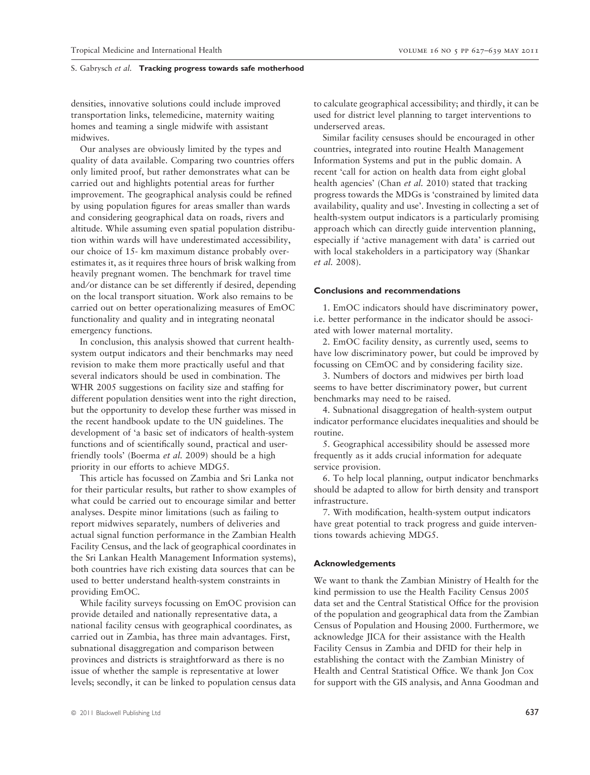densities, innovative solutions could include improved transportation links, telemedicine, maternity waiting homes and teaming a single midwife with assistant midwives.

Our analyses are obviously limited by the types and quality of data available. Comparing two countries offers only limited proof, but rather demonstrates what can be carried out and highlights potential areas for further improvement. The geographical analysis could be refined by using population figures for areas smaller than wards and considering geographical data on roads, rivers and altitude. While assuming even spatial population distribution within wards will have underestimated accessibility, our choice of 15- km maximum distance probably overestimates it, as it requires three hours of brisk walking from heavily pregnant women. The benchmark for travel time and/or distance can be set differently if desired, depending on the local transport situation. Work also remains to be carried out on better operationalizing measures of EmOC functionality and quality and in integrating neonatal emergency functions.

In conclusion, this analysis showed that current healthsystem output indicators and their benchmarks may need revision to make them more practically useful and that several indicators should be used in combination. The WHR 2005 suggestions on facility size and staffing for different population densities went into the right direction, but the opportunity to develop these further was missed in the recent handbook update to the UN guidelines. The development of 'a basic set of indicators of health-system functions and of scientifically sound, practical and userfriendly tools' (Boerma et al. 2009) should be a high priority in our efforts to achieve MDG5.

This article has focussed on Zambia and Sri Lanka not for their particular results, but rather to show examples of what could be carried out to encourage similar and better analyses. Despite minor limitations (such as failing to report midwives separately, numbers of deliveries and actual signal function performance in the Zambian Health Facility Census, and the lack of geographical coordinates in the Sri Lankan Health Management Information systems), both countries have rich existing data sources that can be used to better understand health-system constraints in providing EmOC.

While facility surveys focussing on EmOC provision can provide detailed and nationally representative data, a national facility census with geographical coordinates, as carried out in Zambia, has three main advantages. First, subnational disaggregation and comparison between provinces and districts is straightforward as there is no issue of whether the sample is representative at lower levels; secondly, it can be linked to population census data

to calculate geographical accessibility; and thirdly, it can be used for district level planning to target interventions to underserved areas.

Similar facility censuses should be encouraged in other countries, integrated into routine Health Management Information Systems and put in the public domain. A recent 'call for action on health data from eight global health agencies' (Chan et al. 2010) stated that tracking progress towards the MDGs is 'constrained by limited data availability, quality and use'. Investing in collecting a set of health-system output indicators is a particularly promising approach which can directly guide intervention planning, especially if 'active management with data' is carried out with local stakeholders in a participatory way (Shankar et al. 2008).

#### Conclusions and recommendations

1. EmOC indicators should have discriminatory power, i.e. better performance in the indicator should be associated with lower maternal mortality.

2. EmOC facility density, as currently used, seems to have low discriminatory power, but could be improved by focussing on CEmOC and by considering facility size.

3. Numbers of doctors and midwives per birth load seems to have better discriminatory power, but current benchmarks may need to be raised.

4. Subnational disaggregation of health-system output indicator performance elucidates inequalities and should be routine.

5. Geographical accessibility should be assessed more frequently as it adds crucial information for adequate service provision.

6. To help local planning, output indicator benchmarks should be adapted to allow for birth density and transport infrastructure.

7. With modification, health-system output indicators have great potential to track progress and guide interventions towards achieving MDG5.

#### Acknowledgements

We want to thank the Zambian Ministry of Health for the kind permission to use the Health Facility Census 2005 data set and the Central Statistical Office for the provision of the population and geographical data from the Zambian Census of Population and Housing 2000. Furthermore, we acknowledge JICA for their assistance with the Health Facility Census in Zambia and DFID for their help in establishing the contact with the Zambian Ministry of Health and Central Statistical Office. We thank Jon Cox for support with the GIS analysis, and Anna Goodman and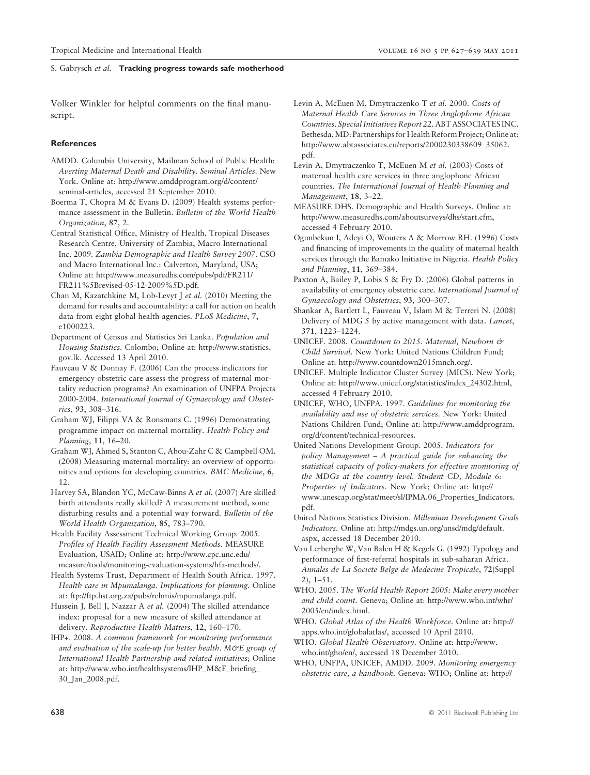Volker Winkler for helpful comments on the final manuscript.

## **References**

- AMDD. Columbia University, Mailman School of Public Health: Averting Maternal Death and Disability. Seminal Articles. New York. Online at: http://www.amddprogram.org/d/content/ seminal-articles, accessed 21 September 2010.
- Boerma T, Chopra M & Evans D. (2009) Health systems performance assessment in the Bulletin. Bulletin of the World Health Organization, 87, 2.
- Central Statistical Office, Ministry of Health, Tropical Diseases Research Centre, University of Zambia, Macro International Inc. 2009. Zambia Demographic and Health Survey 2007. CSO and Macro International Inc.: Calverton, Maryland, USA; Online at: http://www.measuredhs.com/pubs/pdf/FR211/ FR211%5Brevised-05-12-2009%5D.pdf.
- Chan M, Kazatchkine M, Lob-Levyt J et al. (2010) Meeting the demand for results and accountability: a call for action on health data from eight global health agencies. PLoS Medicine, 7, e1000223.
- Department of Census and Statistics Sri Lanka. Population and Housing Statistics. Colombo; Online at: http://www.statistics. gov.lk. Accessed 13 April 2010.
- Fauveau V & Donnay F. (2006) Can the process indicators for emergency obstetric care assess the progress of maternal mortality reduction programs? An examination of UNFPA Projects 2000-2004. International Journal of Gynaecology and Obstetrics, 93, 308–316.
- Graham WJ, Filippi VA & Ronsmans C. (1996) Demonstrating programme impact on maternal mortality. Health Policy and Planning, 11, 16–20.
- Graham WJ, Ahmed S, Stanton C, Abou-Zahr C & Campbell OM. (2008) Measuring maternal mortality: an overview of opportunities and options for developing countries. BMC Medicine, 6, 12.
- Harvey SA, Blandon YC, McCaw-Binns A et al. (2007) Are skilled birth attendants really skilled? A measurement method, some disturbing results and a potential way forward. Bulletin of the World Health Organization, 85, 783–790.
- Health Facility Assessment Technical Working Group. 2005. Profiles of Health Facility Assessment Methods. MEASURE Evaluation, USAID; Online at: http://www.cpc.unc.edu/ measure/tools/monitoring-evaluation-systems/hfa-methods/.
- Health Systems Trust, Department of Health South Africa. 1997. Health care in Mpumalanga. Implications for planning. Online at: ftp://ftp.hst.org.za/pubs/rehmis/mpumalanga.pdf.
- Hussein J, Bell J, Nazzar A et al. (2004) The skilled attendance index: proposal for a new measure of skilled attendance at delivery. Reproductive Health Matters, 12, 160–170.
- IHP+. 2008. A common framework for monitoring performance and evaluation of the scale-up for better health.  $M \circ E$  group of International Health Partnership and related initiatives; Online at: http://www.who.int/healthsystems/IHP\_M&E\_briefing\_ 30\_Jan\_2008.pdf.
- Levin A, McEuen M, Dmytraczenko T et al. 2000. Costs of Maternal Health Care Services in Three Anglophone African Countries. Special Initiatives Report 22. ABT ASSOCIATES INC. Bethesda, MD: Partnerships for Health Reform Project; Online at: http://www.abtassociates.eu/reports/2000230338609\_35062. pdf.
- Levin A, Dmytraczenko T, McEuen M et al. (2003) Costs of maternal health care services in three anglophone African countries. The International Journal of Health Planning and Management, 18, 3–22.
- MEASURE DHS. Demographic and Health Surveys. Online at: http://www.measuredhs.com/aboutsurveys/dhs/start.cfm, accessed 4 February 2010.
- Ogunbekun I, Adeyi O, Wouters A & Morrow RH. (1996) Costs and financing of improvements in the quality of maternal health services through the Bamako Initiative in Nigeria. Health Policy and Planning, 11, 369–384.
- Paxton A, Bailey P, Lobis S & Fry D. (2006) Global patterns in availability of emergency obstetric care. International Journal of Gynaecology and Obstetrics, 93, 300–307.
- Shankar A, Bartlett L, Fauveau V, Islam M & Terreri N. (2008) Delivery of MDG 5 by active management with data. Lancet, 371, 1223–1224.
- UNICEF. 2008. Countdown to 2015. Maternal, Newborn & Child Survival. New York: United Nations Children Fund; Online at: http://www.countdown2015mnch.org/.
- UNICEF. Multiple Indicator Cluster Survey (MICS). New York; Online at: http://www.unicef.org/statistics/index\_24302.html, accessed 4 February 2010.
- UNICEF, WHO, UNFPA. 1997. Guidelines for monitoring the availability and use of obstetric services. New York: United Nations Children Fund; Online at: http://www.amddprogram. org/d/content/technical-resources.
- United Nations Development Group. 2005. Indicators for policy Management – A practical guide for enhancing the statistical capacity of policy-makers for effective monitoring of the MDGs at the country level. Student CD, Module 6: Properties of Indicators. New York; Online at: http:// www.unescap.org/stat/meet/sl/IPMA.06\_Properties\_Indicators. pdf.
- United Nations Statistics Division. Millenium Development Goals Indicators. Online at: http://mdgs.un.org/unsd/mdg/default. aspx, accessed 18 December 2010.
- Van Lerberghe W, Van Balen H & Kegels G. (1992) Typology and performance of first-referral hospitals in sub-saharan Africa. Annales de La Societe Belge de Medecine Tropicale, 72(Suppl 2), 1–51.
- WHO. 2005. The World Health Report 2005: Make every mother and child count. Geneva; Online at: http://www.who.int/whr/ 2005/en/index.html.
- WHO. Global Atlas of the Health Workforce. Online at: http:// apps.who.int/globalatlas/, accessed 10 April 2010.
- WHO. Global Health Observatory. Online at: http://www. who.int/gho/en/, accessed 18 December 2010.
- WHO, UNFPA, UNICEF, AMDD. 2009. Monitoring emergency obstetric care, a handbook. Geneva: WHO; Online at: http://